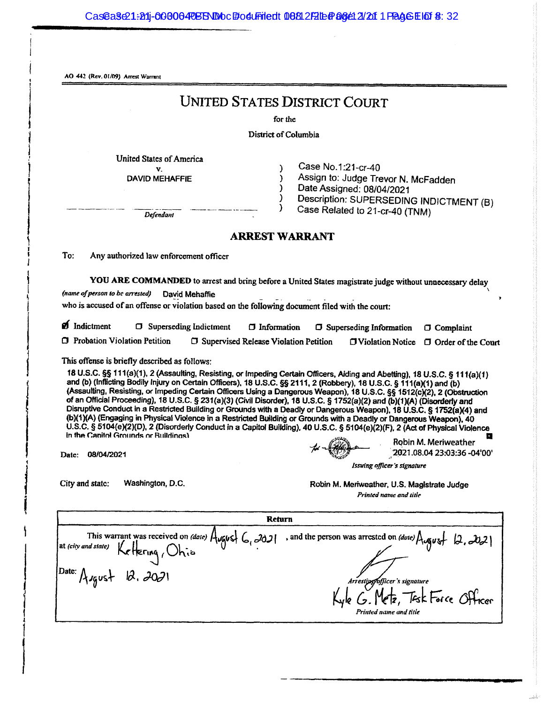AO 442 (Rev. 01/09) Arrest Warrant

# **UNITED STATES DISTRICT COURT**

for the

District of Columbia

<sup>1</sup>

**United States of America**  $\mathbf{v}$ 

**DAVID MEHAFFIE** 

Case No.1:21-cr-40 Assign to: Judge Trevor N. McFadden Date Assigned: 08/04/2021 Description: SUPERSEDING INDICTMENT (B) Case Related to 21-cr-40 (TNM)

Defendant

#### **ARREST WARRANT**

To: Any authorized law enforcement officer

YOU ARE COMMANDED to arrest and bring before a United States magistrate judge without unnecessary delay (name of person to be arrested) David Mehaffie

who is accused of an offense or violation based on the following document filed with the court:

| <b>D</b> Indictment                   | <b>T</b> Superseding Indictment | $\Box$ Information                             | $\Box$ Superseding Information $\Box$ Complaint |                                                   |
|---------------------------------------|---------------------------------|------------------------------------------------|-------------------------------------------------|---------------------------------------------------|
| <b>T</b> Probation Violation Petition |                                 | <b>C</b> Supervised Release Violation Petition |                                                 | $\Box$ Violation Notice $\Box$ Order of the Court |

This offense is briefly described as follows:

18 U.S.C. §§ 111(a)(1), 2 (Assaulting, Resisting, or Impeding Certain Officers, Aiding and Abetting), 18 U.S.C. § 111(a)(1) and (b) (Inflicting Bodily Injury on Certain Officers), 18 U.S.C. §§ 2111, 2 (Robbery), 18 U.S.C. § 111(a)(1) and (b) (Assaulting, Resisting, or Impeding Certain Officers Using a Dangerous Weapon), 18 U.S.C. §§ 1512(c)(2), 2 (Obstruction of an Official Proceeding), 18 U.S.C. § 231(a)(3) (Civil Disorder), 18 U.S.C. § 1752(a)(2) and (b)(1)(A) (Disorderly and Disruptive Conduct in a Restricted Building or Grounds with a Deadly or Dangerous Weapon), 18 U.S.C. § 1752(a)(4) and (b)(1)(A) (Engaging in Physical Violence in a Restricted Building or Grounds with a Deadly or Dangerous Weapon), 40 U.S.C. § 5104(e)(2)(D), 2 (Disorderly Conduct in a Capitol Building), 40 U.S.C. § 5104(e)(2)(F), 2 (Act of Physical Violence In the Canitol Grounds or Buildings) Robin M. Meriweather

Date: 08/04/2021

2021.08.04 23:03:36 -04'00'

Issuing officer's signature

City and state: Washington, D.C. Robin M. Meriweather, U.S. Magistrate Judge Printed name and title

**Return** , and the person was arrested on *(dote)*  $\lambda$   $\alpha$   $\beta$   $\beta$ ,  $\partial\partial\lambda$ This warrant was received on *(date)*  $A_{\nu\sigma\sigma}$  ( $C_{\nu}$  -2021 at (city and state)  $12.2021$ Date: Asgust bfficer's signature letz, Tesk Force Officer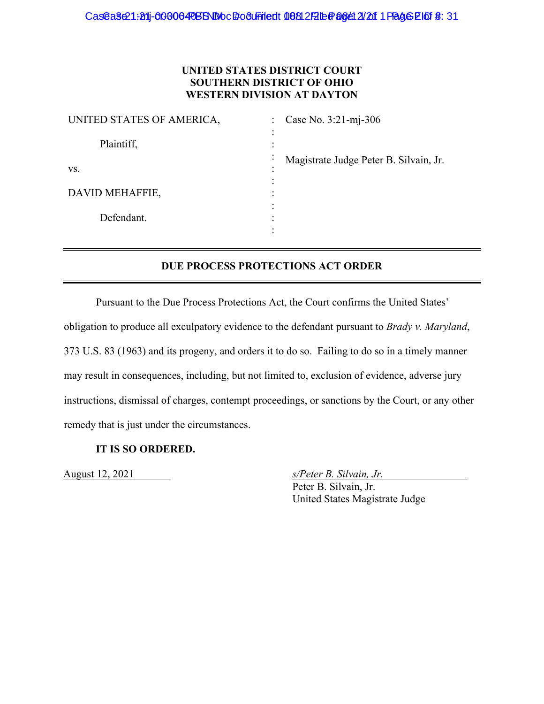# **UNITED STATES DISTRICT COURT SOUTHERN DISTRICT OF OHIO WESTERN DIVISION AT DAYTON**

| UNITED STATES OF AMERICA, | Case No. 3:21-mj-306<br>$\mathbb{R}^{\mathbb{Z}}$             |  |  |
|---------------------------|---------------------------------------------------------------|--|--|
| Plaintiff,                | ٠                                                             |  |  |
| VS.                       | Magistrate Judge Peter B. Silvain, Jr.<br>$\bullet$<br>٠<br>٠ |  |  |
| DAVID MEHAFFIE,           | ٠                                                             |  |  |
| Defendant.                | ٠                                                             |  |  |
|                           |                                                               |  |  |

# **DUE PROCESS PROTECTIONS ACT ORDER**

Pursuant to the Due Process Protections Act, the Court confirms the United States'

obligation to produce all exculpatory evidence to the defendant pursuant to *Brady v. Maryland*,

373 U.S. 83 (1963) and its progeny, and orders it to do so. Failing to do so in a timely manner

may result in consequences, including, but not limited to, exclusion of evidence, adverse jury

instructions, dismissal of charges, contempt proceedings, or sanctions by the Court, or any other

remedy that is just under the circumstances.

# **IT IS SO ORDERED.**

August 12, 2021 *s/Peter B. Silvain, Jr.* 

 Peter B. Silvain, Jr. United States Magistrate Judge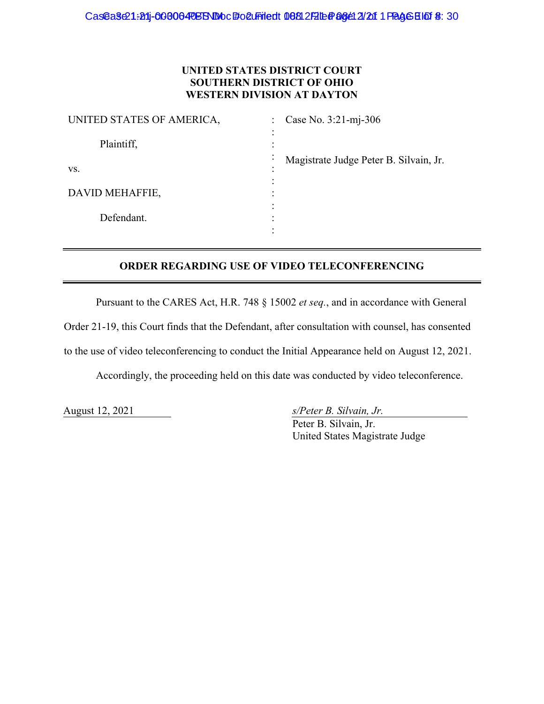# **UNITED STATES DISTRICT COURT SOUTHERN DISTRICT OF OHIO WESTERN DIVISION AT DAYTON**

| UNITED STATES OF AMERICA, | Case No. 3:21-mj-306<br>$\ddot{\cdot}$                                     |  |  |
|---------------------------|----------------------------------------------------------------------------|--|--|
| Plaintiff,                | $\bullet$<br>$\bullet$<br>$\bullet$<br>٠                                   |  |  |
| VS.                       | Magistrate Judge Peter B. Silvain, Jr.<br>$\bullet$<br>$\bullet$<br>٠<br>٠ |  |  |
| DAVID MEHAFFIE,           | $\bullet$<br>$\bullet$                                                     |  |  |
| Defendant.                | ٠<br>٠                                                                     |  |  |
|                           |                                                                            |  |  |

# **ORDER REGARDING USE OF VIDEO TELECONFERENCING**

Pursuant to the CARES Act, H.R. 748 § 15002 *et seq.*, and in accordance with General

Order 21-19, this Court finds that the Defendant, after consultation with counsel, has consented

to the use of video teleconferencing to conduct the Initial Appearance held on August 12, 2021.

Accordingly, the proceeding held on this date was conducted by video teleconference.

August 12, 2021 *s/Peter B. Silvain, Jr.* 

 Peter B. Silvain, Jr. United States Magistrate Judge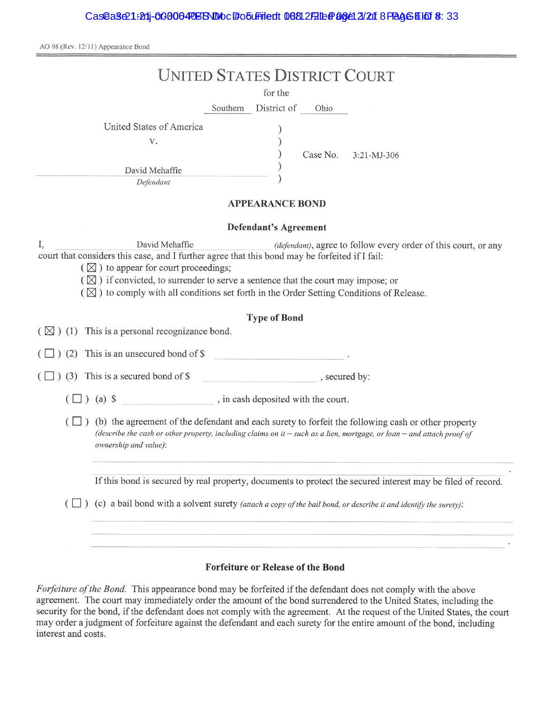| <b>UNITED STATES DISTRICT COURT</b>                                                                                                                                                                                                                                                                                                                                                                                                           |  |  |  |  |  |  |
|-----------------------------------------------------------------------------------------------------------------------------------------------------------------------------------------------------------------------------------------------------------------------------------------------------------------------------------------------------------------------------------------------------------------------------------------------|--|--|--|--|--|--|
| for the                                                                                                                                                                                                                                                                                                                                                                                                                                       |  |  |  |  |  |  |
| Southern District of<br>Ohio                                                                                                                                                                                                                                                                                                                                                                                                                  |  |  |  |  |  |  |
| United States of America<br>V.<br>Case No.<br>3:21-MJ-306<br>David Mehaffie<br>Defendant                                                                                                                                                                                                                                                                                                                                                      |  |  |  |  |  |  |
| <b>APPEARANCE BOND</b>                                                                                                                                                                                                                                                                                                                                                                                                                        |  |  |  |  |  |  |
| <b>Defendant's Agreement</b>                                                                                                                                                                                                                                                                                                                                                                                                                  |  |  |  |  |  |  |
| I,<br>David Mehaffie<br>(defendant), agree to follow every order of this court, or any<br>court that considers this case, and I further agree that this bond may be forfeited if I fail:<br>$(\boxtimes)$ to appear for court proceedings;<br>$(\boxtimes)$ if convicted, to surrender to serve a sentence that the court may impose; or<br>$(\boxtimes)$ to comply with all conditions set forth in the Order Setting Conditions of Release. |  |  |  |  |  |  |
| <b>Type of Bond</b><br>$(\boxtimes)$ (1) This is a personal recognizance bond.                                                                                                                                                                                                                                                                                                                                                                |  |  |  |  |  |  |
| $(\Box)$ (2) This is an unsecured bond of \$                                                                                                                                                                                                                                                                                                                                                                                                  |  |  |  |  |  |  |
| $(\Box)$ (3) This is a secured bond of \$<br>$\sim$ , secured by:                                                                                                                                                                                                                                                                                                                                                                             |  |  |  |  |  |  |
| , in cash deposited with the court.<br>$\left(\Box\right)$ (a) \$                                                                                                                                                                                                                                                                                                                                                                             |  |  |  |  |  |  |
| $(\Box)$ (b) the agreement of the defendant and each surety to forfeit the following cash or other property<br>(describe the cash or other property, including claims on it - such as a lien, mortgage, or loan - and attach proof of<br>ownership and value):                                                                                                                                                                                |  |  |  |  |  |  |
| If this bond is secured by real property, documents to protect the secured interest may be filed of record.                                                                                                                                                                                                                                                                                                                                   |  |  |  |  |  |  |
| (c) a bail bond with a solvent surety (attach a copy of the bail bond, or describe it and identify the surety):<br>$(\Box)$                                                                                                                                                                                                                                                                                                                   |  |  |  |  |  |  |
|                                                                                                                                                                                                                                                                                                                                                                                                                                               |  |  |  |  |  |  |

#### **Forfeiture or Release of the Bond**

Forfeiture of the Bond. This appearance bond may be forfeited if the defendant does not comply with the above agreement. The court may immediately order the amount of the bond surrendered to the United States, including the security for the bond, if the defendant does not comply with the agreement. At the request of the United States, the court may order a judgment of forfeiture against the defendant and each surety for the entire amount of the bond, including interest and costs.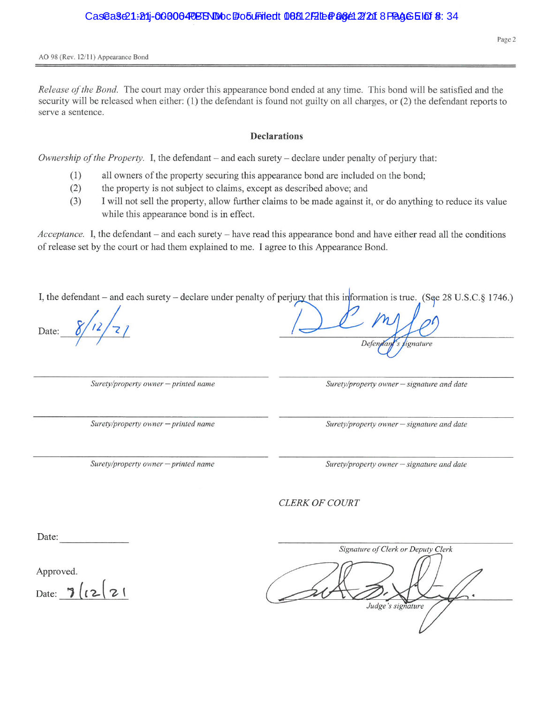Release of the Bond. The court may order this appearance bond ended at any time. This bond will be satisfied and the security will be released when either: (1) the defendant is found not guilty on all charges, or (2) the defendant reports to serve a sentence.

#### **Declarations**

Ownership of the Property. I, the defendant – and each surety – declare under penalty of perjury that:

- all owners of the property securing this appearance bond are included on the bond;  $(1)$
- $(2)$ the property is not subject to claims, except as described above; and
- $(3)$ I will not sell the property, allow further claims to be made against it, or do anything to reduce its value while this appearance bond is in effect.

*Acceptance.* I, the defendant – and each surety – have read this appearance bond and have either read all the conditions of release set by the court or had them explained to me. I agree to this Appearance Bond.

I, the defendant – and each surety – declare under penalty of perjury that this information is true. (See 28 U.S.C.§ 1746.)

Date:

Surety/property owner - printed name

Surety/property owner - printed name

Surety/property owner - printed name

Surety/property owner - signature and date

Defendan

signature

Surety/property owner - signature and date

Surety/property owner - signature and date

**CLERK OF COURT** 

Date:

Approved.

Date:  $7/(2)$ 

Signature of Clerk or Deputy Clerk Judge's signature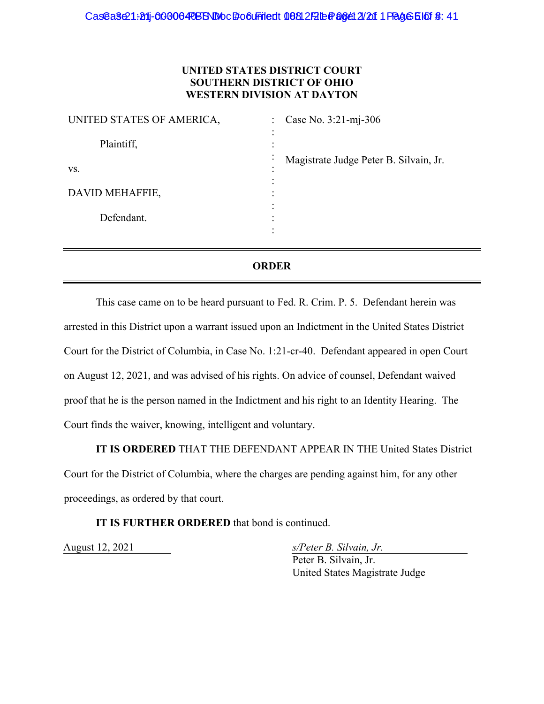## **UNITED STATES DISTRICT COURT SOUTHERN DISTRICT OF OHIO WESTERN DIVISION AT DAYTON**

| UNITED STATES OF AMERICA,<br>٠ | Case No. 3:21-mj-306<br>$\mathbb{R}^{\mathbb{Z}}$ |  |  |
|--------------------------------|---------------------------------------------------|--|--|
| Plaintiff,                     |                                                   |  |  |
| $\bullet$<br>VS.               | Magistrate Judge Peter B. Silvain, Jr.            |  |  |
| DAVID MEHAFFIE,                |                                                   |  |  |
| Defendant.                     |                                                   |  |  |
|                                |                                                   |  |  |

# **ORDER**

This case came on to be heard pursuant to Fed. R. Crim. P. 5. Defendant herein was arrested in this District upon a warrant issued upon an Indictment in the United States District Court for the District of Columbia, in Case No. 1:21-cr-40. Defendant appeared in open Court on August 12, 2021, and was advised of his rights. On advice of counsel, Defendant waived proof that he is the person named in the Indictment and his right to an Identity Hearing. The Court finds the waiver, knowing, intelligent and voluntary.

**IT IS ORDERED** THAT THE DEFENDANT APPEAR IN THE United States District Court for the District of Columbia, where the charges are pending against him, for any other proceedings, as ordered by that court.

# **IT IS FURTHER ORDERED** that bond is continued.

August 12, 2021 *s/Peter B. Silvain, Jr.* 

 Peter B. Silvain, Jr. United States Magistrate Judge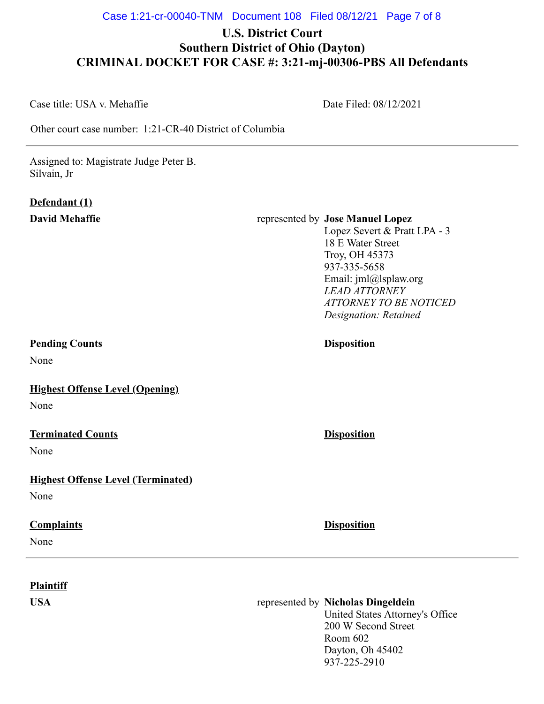# **U.S. District Court Southern District of Ohio (Dayton) CRIMINAL DOCKET FOR CASE #: 3:21-mj-00306-PBS All Defendants**

Case title: USA v. Mehaffie

Date Filed: 08/12/2021

Other court case number: 1:21-CR-40 District of Columbia

Assigned to: Magistrate Judge Peter B. Silvain, Jr

# **Defendant (1)**

# **David Mehaffie** represented by **Jose Manuel Lopez**

Lopez Severt & Pratt LPA - 3 18 E Water Street Troy, OH 45373 937-335-5658 Email: jml@lsplaw.org *LEAD ATTORNEY ATTORNEY TO BE NOTICED Designation: Retained*

# **Pending Counts Disposition**

None

**Highest Offense Level (Opening)**

None

# **Terminated Counts Disposition**

None

# **Highest Offense Level (Terminated)**

None

# **Complaints Disposition**

None

# **Plaintiff**

# **USA** represented by **Nicholas Dingeldein**

United States Attorney's Office 200 W Second Street Room 602 Dayton, Oh 45402 937-225-2910